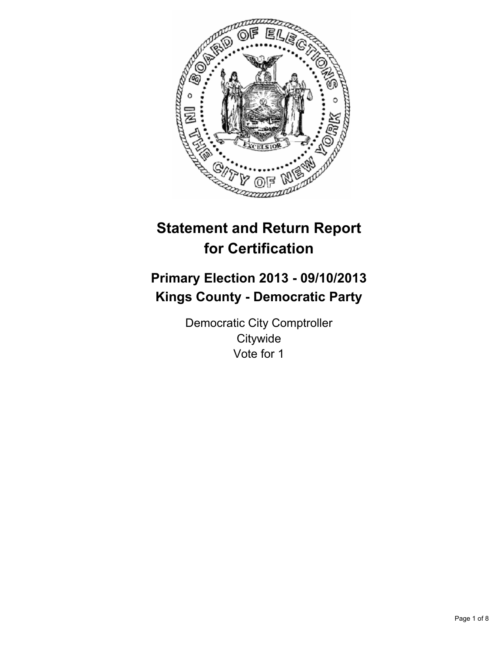

# **Statement and Return Report for Certification**

# **Primary Election 2013 - 09/10/2013 Kings County - Democratic Party**

Democratic City Comptroller **Citywide** Vote for 1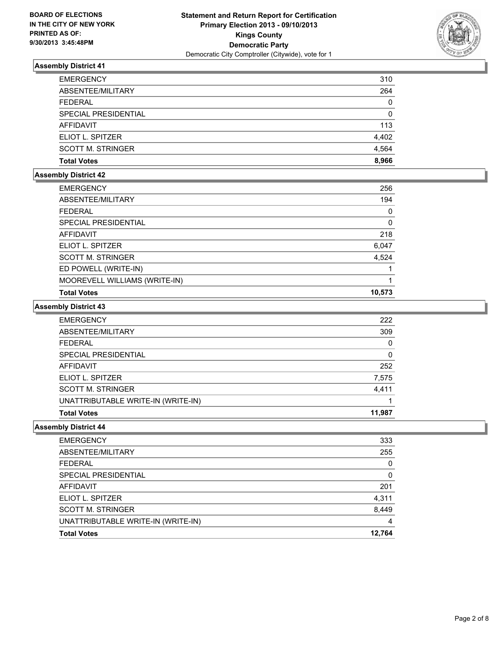

| <b>EMERGENCY</b>         | 310          |
|--------------------------|--------------|
| ABSENTEE/MILITARY        | 264          |
| <b>FEDERAL</b>           | $\mathbf{0}$ |
| SPECIAL PRESIDENTIAL     | 0            |
| AFFIDAVIT                | 113          |
| ELIOT L. SPITZER         | 4,402        |
| <b>SCOTT M. STRINGER</b> | 4.564        |
| <b>Total Votes</b>       | 8.966        |

# **Assembly District 42**

| <b>EMERGENCY</b><br>ABSENTEE/MILITARY<br><b>FEDERAL</b><br>SPECIAL PRESIDENTIAL<br><b>AFFIDAVIT</b><br>ELIOT L. SPITZER<br>6,047<br><b>SCOTT M. STRINGER</b><br>ED POWELL (WRITE-IN)<br>MOOREVELL WILLIAMS (WRITE-IN)<br><b>Total Votes</b> |        |
|---------------------------------------------------------------------------------------------------------------------------------------------------------------------------------------------------------------------------------------------|--------|
|                                                                                                                                                                                                                                             | 256    |
|                                                                                                                                                                                                                                             | 194    |
|                                                                                                                                                                                                                                             | 0      |
|                                                                                                                                                                                                                                             | 0      |
|                                                                                                                                                                                                                                             | 218    |
|                                                                                                                                                                                                                                             |        |
|                                                                                                                                                                                                                                             | 4,524  |
|                                                                                                                                                                                                                                             |        |
|                                                                                                                                                                                                                                             |        |
|                                                                                                                                                                                                                                             | 10,573 |

#### **Assembly District 43**

| <b>EMERGENCY</b>                   | 222    |
|------------------------------------|--------|
| ABSENTEE/MILITARY                  | 309    |
| <b>FEDERAL</b>                     | 0      |
| SPECIAL PRESIDENTIAL               | 0      |
| AFFIDAVIT                          | 252    |
| ELIOT L. SPITZER                   | 7,575  |
| <b>SCOTT M. STRINGER</b>           | 4,411  |
| UNATTRIBUTABLE WRITE-IN (WRITE-IN) |        |
| <b>Total Votes</b>                 | 11,987 |

| <b>EMERGENCY</b>                   | 333    |
|------------------------------------|--------|
| ABSENTEE/MILITARY                  | 255    |
| <b>FEDERAL</b>                     | 0      |
| SPECIAL PRESIDENTIAL               | 0      |
| <b>AFFIDAVIT</b>                   | 201    |
| ELIOT L. SPITZER                   | 4,311  |
| <b>SCOTT M. STRINGER</b>           | 8,449  |
| UNATTRIBUTABLE WRITE-IN (WRITE-IN) | 4      |
| <b>Total Votes</b>                 | 12.764 |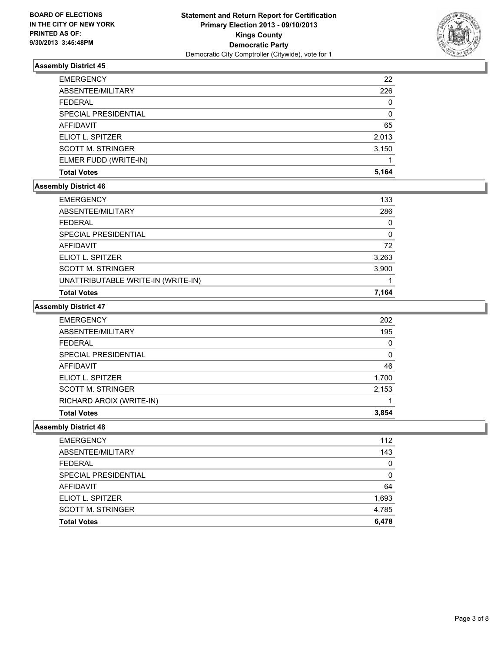

| <b>EMERGENCY</b>            | 22    |
|-----------------------------|-------|
| ABSENTEE/MILITARY           | 226   |
| <b>FEDERAL</b>              | 0     |
| <b>SPECIAL PRESIDENTIAL</b> | 0     |
| <b>AFFIDAVIT</b>            | 65    |
| ELIOT L. SPITZER            | 2,013 |
| <b>SCOTT M. STRINGER</b>    | 3,150 |
| ELMER FUDD (WRITE-IN)       |       |
| <b>Total Votes</b>          | 5.164 |

### **Assembly District 46**

| <b>EMERGENCY</b>                   | 133   |
|------------------------------------|-------|
| ABSENTEE/MILITARY                  | 286   |
| <b>FEDERAL</b>                     | 0     |
| SPECIAL PRESIDENTIAL               | 0     |
| AFFIDAVIT                          | 72    |
| ELIOT L. SPITZER                   | 3,263 |
| <b>SCOTT M. STRINGER</b>           | 3,900 |
| UNATTRIBUTABLE WRITE-IN (WRITE-IN) |       |
| <b>Total Votes</b>                 | 7,164 |

#### **Assembly District 47**

| <b>EMERGENCY</b>         | 202   |
|--------------------------|-------|
| ABSENTEE/MILITARY        | 195   |
| <b>FEDERAL</b>           | 0     |
| SPECIAL PRESIDENTIAL     | 0     |
| <b>AFFIDAVIT</b>         | 46    |
| ELIOT L. SPITZER         | 1,700 |
| <b>SCOTT M. STRINGER</b> | 2,153 |
| RICHARD AROIX (WRITE-IN) |       |
| <b>Total Votes</b>       | 3,854 |

| <b>EMERGENCY</b>         | 112   |
|--------------------------|-------|
| ABSENTEE/MILITARY        | 143   |
| <b>FEDERAL</b>           | 0     |
| SPECIAL PRESIDENTIAL     | 0     |
| <b>AFFIDAVIT</b>         | 64    |
| ELIOT L. SPITZER         | 1,693 |
| <b>SCOTT M. STRINGER</b> | 4,785 |
| <b>Total Votes</b>       | 6,478 |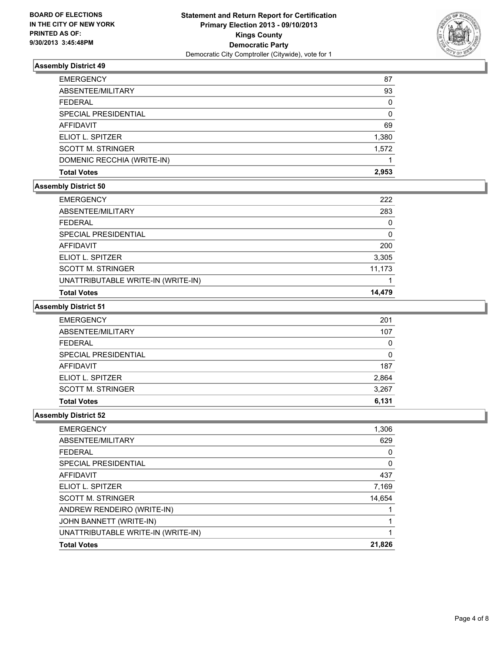

| <b>EMERGENCY</b>           | 87    |
|----------------------------|-------|
| ABSENTEE/MILITARY          | 93    |
| <b>FEDERAL</b>             | 0     |
| SPECIAL PRESIDENTIAL       | 0     |
| AFFIDAVIT                  | 69    |
| ELIOT L. SPITZER           | 1,380 |
| <b>SCOTT M. STRINGER</b>   | 1,572 |
| DOMENIC RECCHIA (WRITE-IN) |       |
| <b>Total Votes</b>         | 2.953 |

#### **Assembly District 50**

| <b>Total Votes</b>                 | 14.479   |
|------------------------------------|----------|
| UNATTRIBUTABLE WRITE-IN (WRITE-IN) |          |
| <b>SCOTT M. STRINGER</b>           | 11,173   |
| ELIOT L. SPITZER                   | 3,305    |
| <b>AFFIDAVIT</b>                   | 200      |
| SPECIAL PRESIDENTIAL               | $\Omega$ |
| <b>FEDERAL</b>                     | 0        |
| ABSENTEE/MILITARY                  | 283      |
| <b>EMERGENCY</b>                   | 222      |

#### **Assembly District 51**

| <b>EMERGENCY</b>         | 201   |
|--------------------------|-------|
| ABSENTEE/MILITARY        | 107   |
| <b>FEDERAL</b>           | 0     |
| SPECIAL PRESIDENTIAL     | 0     |
| AFFIDAVIT                | 187   |
| ELIOT L. SPITZER         | 2,864 |
| <b>SCOTT M. STRINGER</b> | 3,267 |
| <b>Total Votes</b>       | 6,131 |

| ANDREW RENDEIRO (WRITE-IN)<br>JOHN BANNETT (WRITE-IN) |        |
|-------------------------------------------------------|--------|
| <b>SCOTT M. STRINGER</b>                              | 14,654 |
| ELIOT L. SPITZER                                      | 7,169  |
| AFFIDAVIT                                             | 437    |
| SPECIAL PRESIDENTIAL                                  | 0      |
| FEDERAL                                               | 0      |
| ABSENTEE/MILITARY                                     | 629    |
| <b>EMERGENCY</b>                                      | 1,306  |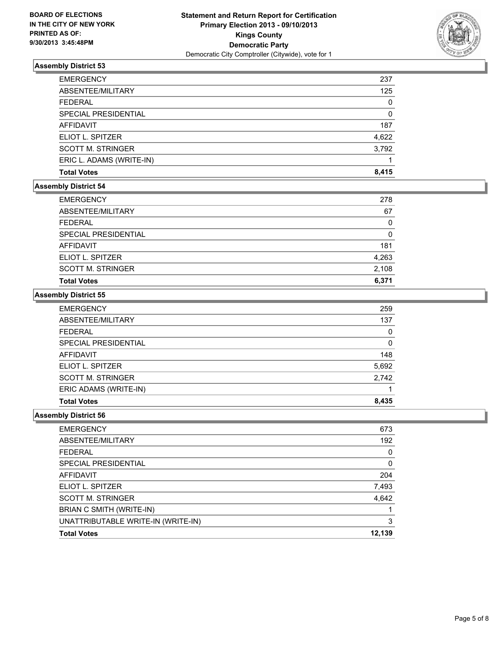

| <b>EMERGENCY</b>            | 237   |
|-----------------------------|-------|
| ABSENTEE/MILITARY           | 125   |
| <b>FEDERAL</b>              | 0     |
| <b>SPECIAL PRESIDENTIAL</b> | 0     |
| AFFIDAVIT                   | 187   |
| ELIOT L. SPITZER            | 4,622 |
| <b>SCOTT M. STRINGER</b>    | 3,792 |
| ERIC L. ADAMS (WRITE-IN)    |       |
| <b>Total Votes</b>          | 8.415 |

## **Assembly District 54**

| <b>EMERGENCY</b>         | 278   |
|--------------------------|-------|
| ABSENTEE/MILITARY        | 67    |
| <b>FEDERAL</b>           | 0     |
| SPECIAL PRESIDENTIAL     | 0     |
| AFFIDAVIT                | 181   |
| ELIOT L. SPITZER         | 4,263 |
| <b>SCOTT M. STRINGER</b> | 2,108 |
| <b>Total Votes</b>       | 6,371 |

#### **Assembly District 55**

| <b>EMERGENCY</b>         | 259   |
|--------------------------|-------|
| ABSENTEE/MILITARY        | 137   |
| <b>FEDERAL</b>           | 0     |
| SPECIAL PRESIDENTIAL     | 0     |
| AFFIDAVIT                | 148   |
| ELIOT L. SPITZER         | 5,692 |
| <b>SCOTT M. STRINGER</b> | 2,742 |
| ERIC ADAMS (WRITE-IN)    |       |
| <b>Total Votes</b>       | 8,435 |

| <b>EMERGENCY</b>                   | 673      |
|------------------------------------|----------|
| ABSENTEE/MILITARY                  | 192      |
| <b>FFDFRAL</b>                     | $\Omega$ |
| SPECIAL PRESIDENTIAL               | 0        |
| AFFIDAVIT                          | 204      |
| ELIOT L. SPITZER                   | 7,493    |
| <b>SCOTT M. STRINGER</b>           | 4,642    |
| BRIAN C SMITH (WRITE-IN)           |          |
| UNATTRIBUTABLE WRITE-IN (WRITE-IN) | 3        |
| <b>Total Votes</b>                 | 12,139   |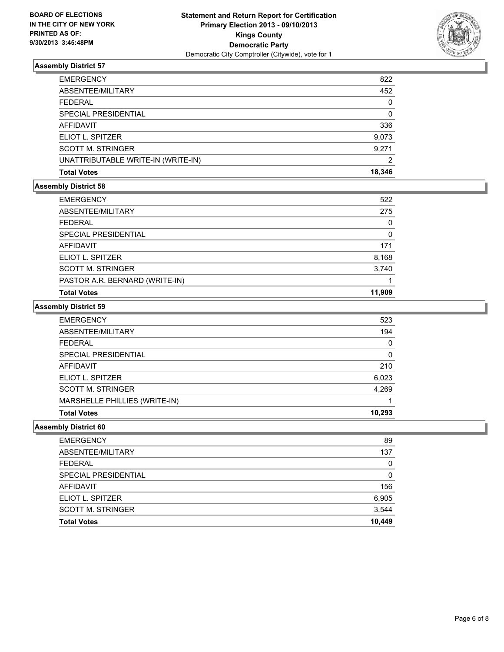

| AFFIDAVIT                          | 336    |
|------------------------------------|--------|
| ELIOT L. SPITZER                   | 9,073  |
| <b>SCOTT M. STRINGER</b>           | 9,271  |
|                                    |        |
| UNATTRIBUTABLE WRITE-IN (WRITE-IN) | 2      |
| <b>Total Votes</b>                 | 18,346 |

#### **Assembly District 58**

| <b>EMERGENCY</b>               | 522    |
|--------------------------------|--------|
| ABSENTEE/MILITARY              | 275    |
| <b>FEDERAL</b>                 | 0      |
| SPECIAL PRESIDENTIAL           | 0      |
| AFFIDAVIT                      | 171    |
| ELIOT L. SPITZER               | 8,168  |
| <b>SCOTT M. STRINGER</b>       | 3,740  |
| PASTOR A.R. BERNARD (WRITE-IN) |        |
| <b>Total Votes</b>             | 11.909 |

#### **Assembly District 59**

| <b>EMERGENCY</b>              | 523    |
|-------------------------------|--------|
| ABSENTEE/MILITARY             | 194    |
| <b>FEDERAL</b>                | 0      |
| SPECIAL PRESIDENTIAL          | 0      |
| <b>AFFIDAVIT</b>              | 210    |
| ELIOT L. SPITZER              | 6,023  |
| <b>SCOTT M. STRINGER</b>      | 4,269  |
| MARSHELLE PHILLIES (WRITE-IN) |        |
| <b>Total Votes</b>            | 10.293 |

| <b>EMERGENCY</b>            | 89     |
|-----------------------------|--------|
| ABSENTEE/MILITARY           | 137    |
| <b>FEDERAL</b>              | 0      |
| <b>SPECIAL PRESIDENTIAL</b> | 0      |
| <b>AFFIDAVIT</b>            | 156    |
| ELIOT L. SPITZER            | 6,905  |
| <b>SCOTT M. STRINGER</b>    | 3,544  |
| <b>Total Votes</b>          | 10,449 |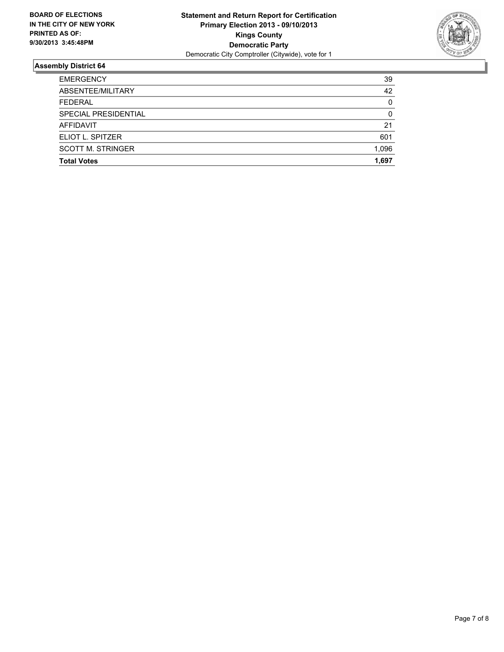

| <b>Total Votes</b>       | 1,697    |
|--------------------------|----------|
| <b>SCOTT M. STRINGER</b> | 1.096    |
| ELIOT L. SPITZER         | 601      |
| <b>AFFIDAVIT</b>         | 21       |
| SPECIAL PRESIDENTIAL     | $\Omega$ |
| <b>FEDERAL</b>           | $\Omega$ |
| ABSENTEE/MILITARY        | 42       |
| <b>EMERGENCY</b>         | 39       |